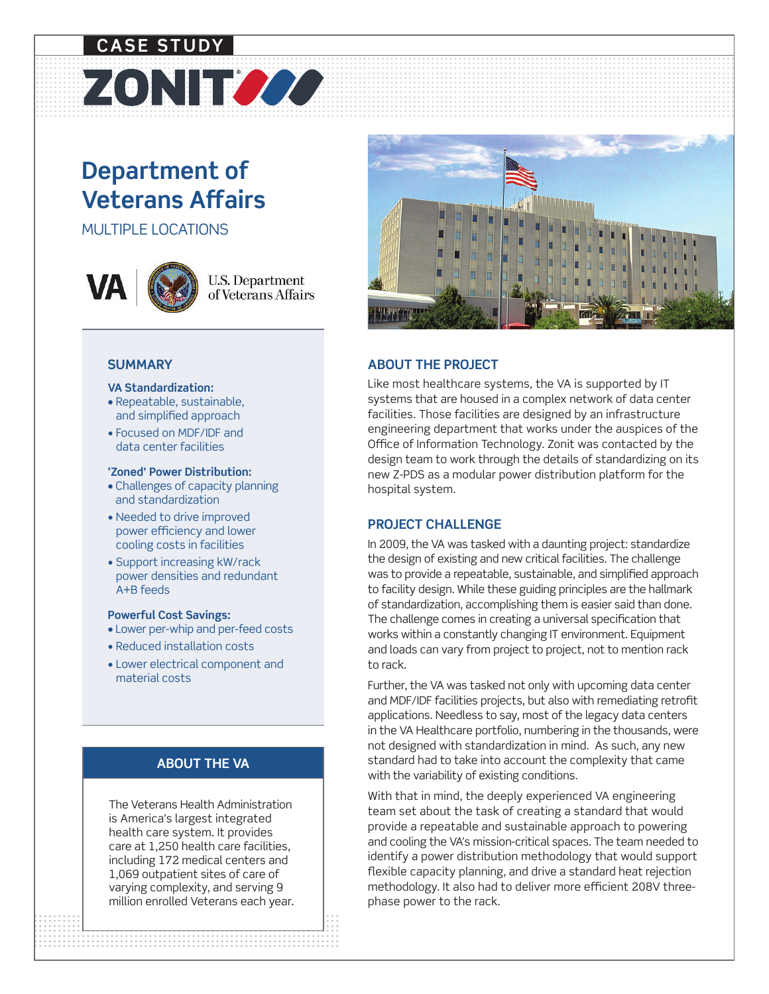# **Department of Veterans Affairs**

ZONITOOO

MULTIPLE LOCATIONS

**CASE STUDY**



## **U.S. Department** of Veterans Affairs

#### **SUMMARY**

#### **VA Standardization:**

- Repeatable, sustainable, and simplified approach
- Focused on MDF/IDF and data center facilities

#### **'Zoned' Power Distribution:**

- Challenges of capacity planning and standardization
- Needed to drive improved power efficiency and lower cooling costs in facilities
- Support increasing kW/rack power densities and redundant A+B feeds

#### **Powerful Cost Savings:**

- Lower per-whip and per-feed costs
- Reduced installation costs
- Lower electrical component and material costs

## **ABOUT THE VA**

The Veterans Health Administration is America's largest integrated health care system. It provides care at 1,250 health care facilities, including 172 medical centers and 1,069 outpatient sites of care of varying complexity, and serving 9 million enrolled Veterans each year.



## **ABOUT THE PROJECT**

Like most healthcare systems, the VA is supported by IT systems that are housed in a complex network of data center facilities. Those facilities are designed by an infrastructure engineering department that works under the auspices of the Office of Information Technology. Zonit was contacted by the design team to work through the details of standardizing on its new Z-PDS as a modular power distribution platform for the hospital system.

## **PROJECT CHALLENGE**

In 2009, the VA was tasked with a daunting project: standardize the design of existing and new critical facilities. The challenge was to provide a repeatable, sustainable, and simplified approach to facility design. While these guiding principles are the hallmark of standardization, accomplishing them is easier said than done. The challenge comes in creating a universal specification that works within a constantly changing IT environment. Equipment and loads can vary from project to project, not to mention rack to rack.

Further, the VA was tasked not only with upcoming data center and MDF/IDF facilities projects, but also with remediating retrofit applications. Needless to say, most of the legacy data centers in the VA Healthcare portfolio, numbering in the thousands, were not designed with standardization in mind. As such, any new standard had to take into account the complexity that came with the variability of existing conditions.

Phase power to the rack. With that in mind, the deeply experienced VA engineering team set about the task of creating a standard that would provide a repeatable and sustainable approach to powering and cooling the VA's mission-critical spaces. The team needed to identify a power distribution methodology that would support flexible capacity planning, and drive a standard heat rejection methodology. It also had to deliver more efficient 208V threephase power to the rack.